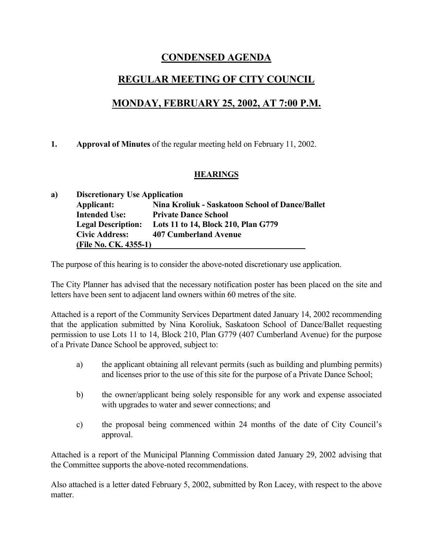# **CONDENSED AGENDA**

# **REGULAR MEETING OF CITY COUNCIL**

# **MONDAY, FEBRUARY 25, 2002, AT 7:00 P.M.**

## **1. Approval of Minutes** of the regular meeting held on February 11, 2002.

## **HEARINGS**

| a) | <b>Discretionary Use Application</b> |                                                 |  |  |
|----|--------------------------------------|-------------------------------------------------|--|--|
|    | Applicant:                           | Nina Kroliuk - Saskatoon School of Dance/Ballet |  |  |
|    | <b>Intended Use:</b>                 | <b>Private Dance School</b>                     |  |  |
|    | <b>Legal Description:</b>            | Lots 11 to 14, Block 210, Plan G779             |  |  |
|    | <b>Civic Address:</b>                | <b>407 Cumberland Avenue</b>                    |  |  |
|    | (File No. CK. 4355-1)                |                                                 |  |  |

The purpose of this hearing is to consider the above-noted discretionary use application.

The City Planner has advised that the necessary notification poster has been placed on the site and letters have been sent to adjacent land owners within 60 metres of the site.

Attached is a report of the Community Services Department dated January 14, 2002 recommending that the application submitted by Nina Koroliuk, Saskatoon School of Dance/Ballet requesting permission to use Lots 11 to 14, Block 210, Plan G779 (407 Cumberland Avenue) for the purpose of a Private Dance School be approved, subject to:

- a) the applicant obtaining all relevant permits (such as building and plumbing permits) and licenses prior to the use of this site for the purpose of a Private Dance School;
- b) the owner/applicant being solely responsible for any work and expense associated with upgrades to water and sewer connections; and
- c) the proposal being commenced within 24 months of the date of City Council's approval.

Attached is a report of the Municipal Planning Commission dated January 29, 2002 advising that the Committee supports the above-noted recommendations.

Also attached is a letter dated February 5, 2002, submitted by Ron Lacey, with respect to the above matter.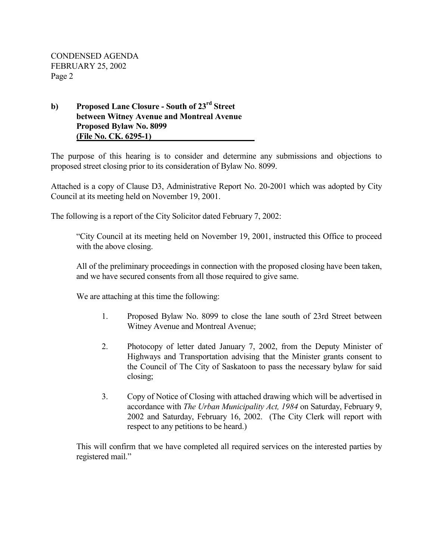## **b) Proposed Lane Closure - South of 23rd Street between Witney Avenue and Montreal Avenue Proposed Bylaw No. 8099 (File No. CK. 6295-1)**

The purpose of this hearing is to consider and determine any submissions and objections to proposed street closing prior to its consideration of Bylaw No. 8099.

Attached is a copy of Clause D3, Administrative Report No. 20-2001 which was adopted by City Council at its meeting held on November 19, 2001.

The following is a report of the City Solicitor dated February 7, 2002:

"City Council at its meeting held on November 19, 2001, instructed this Office to proceed with the above closing.

All of the preliminary proceedings in connection with the proposed closing have been taken, and we have secured consents from all those required to give same.

We are attaching at this time the following:

- 1. Proposed Bylaw No. 8099 to close the lane south of 23rd Street between Witney Avenue and Montreal Avenue;
- 2. Photocopy of letter dated January 7, 2002, from the Deputy Minister of Highways and Transportation advising that the Minister grants consent to the Council of The City of Saskatoon to pass the necessary bylaw for said closing;
- 3. Copy of Notice of Closing with attached drawing which will be advertised in accordance with *The Urban Municipality Act, 1984* on Saturday, February 9, 2002 and Saturday, February 16, 2002. (The City Clerk will report with respect to any petitions to be heard.)

This will confirm that we have completed all required services on the interested parties by registered mail."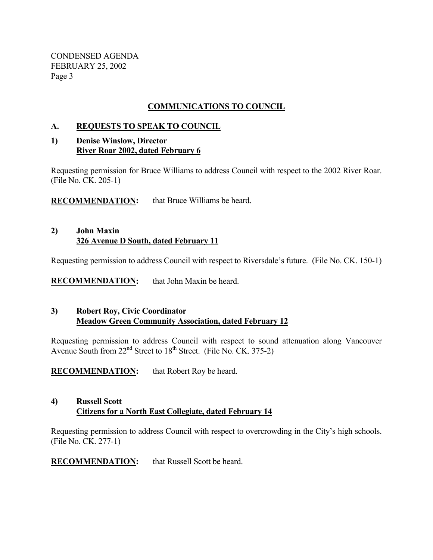## **COMMUNICATIONS TO COUNCIL**

### **A. REQUESTS TO SPEAK TO COUNCIL**

### **1) Denise Winslow, Director River Roar 2002, dated February 6**

Requesting permission for Bruce Williams to address Council with respect to the 2002 River Roar. (File No. CK. 205-1)

**RECOMMENDATION:** that Bruce Williams be heard.

### **2) John Maxin 326 Avenue D South, dated February 11**

Requesting permission to address Council with respect to Riversdale's future. (File No. CK. 150-1)

**RECOMMENDATION:** that John Maxin be heard.

## **3) Robert Roy, Civic Coordinator Meadow Green Community Association, dated February 12**

Requesting permission to address Council with respect to sound attenuation along Vancouver Avenue South from  $22<sup>nd</sup>$  Street to  $18<sup>th</sup>$  Street. (File No. CK. 375-2)

**RECOMMENDATION:** that Robert Roy be heard.

## **4) Russell Scott Citizens for a North East Collegiate, dated February 14**

Requesting permission to address Council with respect to overcrowding in the City's high schools. (File No. CK. 277-1)

**RECOMMENDATION:** that Russell Scott be heard.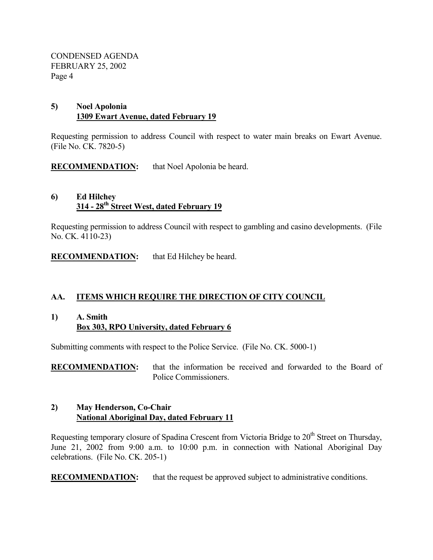## **5) Noel Apolonia 1309 Ewart Avenue, dated February 19**

Requesting permission to address Council with respect to water main breaks on Ewart Avenue. (File No. CK. 7820-5)

**RECOMMENDATION:** that Noel Apolonia be heard.

### **6) Ed Hilchey 314 - 28th Street West, dated February 19**

Requesting permission to address Council with respect to gambling and casino developments. (File No. CK. 4110-23)

**RECOMMENDATION:** that Ed Hilchey be heard.

## **AA. ITEMS WHICH REQUIRE THE DIRECTION OF CITY COUNCIL**

### **1) A. Smith Box 303, RPO University, dated February 6**

Submitting comments with respect to the Police Service. (File No. CK. 5000-1)

**RECOMMENDATION:** that the information be received and forwarded to the Board of Police Commissioners.

### **2) May Henderson, Co-Chair National Aboriginal Day, dated February 11**

Requesting temporary closure of Spadina Crescent from Victoria Bridge to 20<sup>th</sup> Street on Thursday, June 21, 2002 from 9:00 a.m. to 10:00 p.m. in connection with National Aboriginal Day celebrations. (File No. CK. 205-1)

**RECOMMENDATION:** that the request be approved subject to administrative conditions.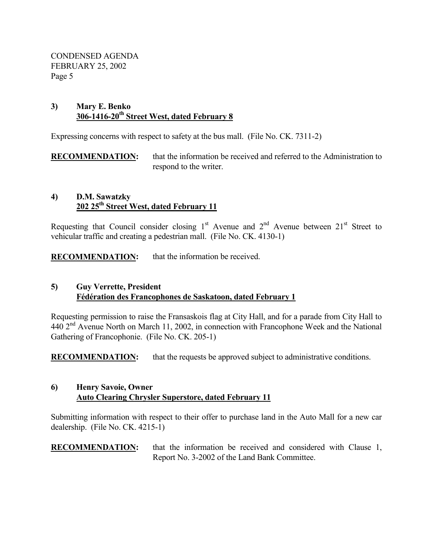### **3) Mary E. Benko 306-1416-20th Street West, dated February 8**

Expressing concerns with respect to safety at the bus mall. (File No. CK. 7311-2)

**RECOMMENDATION:** that the information be received and referred to the Administration to respond to the writer.

### **4) D.M. Sawatzky 202 25th Street West, dated February 11**

Requesting that Council consider closing  $1<sup>st</sup>$  Avenue and  $2<sup>nd</sup>$  Avenue between  $21<sup>st</sup>$  Street to vehicular traffic and creating a pedestrian mall. (File No. CK. 4130-1)

**RECOMMENDATION:** that the information be received.

## **5) Guy Verrette, President Fédération des Francophones de Saskatoon, dated February 1**

Requesting permission to raise the Fransaskois flag at City Hall, and for a parade from City Hall to  $440$   $2<sup>nd</sup>$  Avenue North on March 11, 2002, in connection with Francophone Week and the National Gathering of Francophonie. (File No. CK. 205-1)

**RECOMMENDATION:** that the requests be approved subject to administrative conditions.

### **6) Henry Savoie, Owner Auto Clearing Chrysler Superstore, dated February 11**

Submitting information with respect to their offer to purchase land in the Auto Mall for a new car dealership. (File No. CK. 4215-1)

### **RECOMMENDATION:** that the information be received and considered with Clause 1, Report No. 3-2002 of the Land Bank Committee.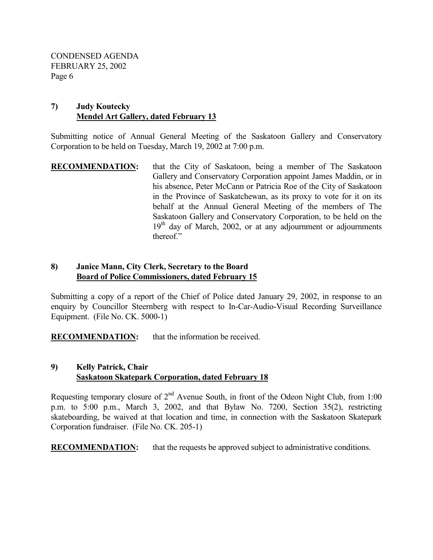### **7) Judy Koutecky Mendel Art Gallery, dated February 13**

Submitting notice of Annual General Meeting of the Saskatoon Gallery and Conservatory Corporation to be held on Tuesday, March 19, 2002 at 7:00 p.m.

**RECOMMENDATION:** that the City of Saskatoon, being a member of The Saskatoon Gallery and Conservatory Corporation appoint James Maddin, or in his absence, Peter McCann or Patricia Roe of the City of Saskatoon in the Province of Saskatchewan, as its proxy to vote for it on its behalf at the Annual General Meeting of the members of The Saskatoon Gallery and Conservatory Corporation, to be held on the  $19<sup>th</sup>$  day of March, 2002, or at any adjournment or adjournments thereof."

### **8) Janice Mann, City Clerk, Secretary to the Board Board of Police Commissioners, dated February 15**

Submitting a copy of a report of the Chief of Police dated January 29, 2002, in response to an enquiry by Councillor Steernberg with respect to In-Car-Audio-Visual Recording Surveillance Equipment. (File No. CK. 5000-1)

**RECOMMENDATION:** that the information be received.

## **9) Kelly Patrick, Chair Saskatoon Skatepark Corporation, dated February 18**

Requesting temporary closure of  $2<sup>nd</sup>$  Avenue South, in front of the Odeon Night Club, from 1:00 p.m. to 5:00 p.m., March 3, 2002, and that Bylaw No. 7200, Section 35(2), restricting skateboarding, be waived at that location and time, in connection with the Saskatoon Skatepark Corporation fundraiser. (File No. CK. 205-1)

**RECOMMENDATION:** that the requests be approved subject to administrative conditions.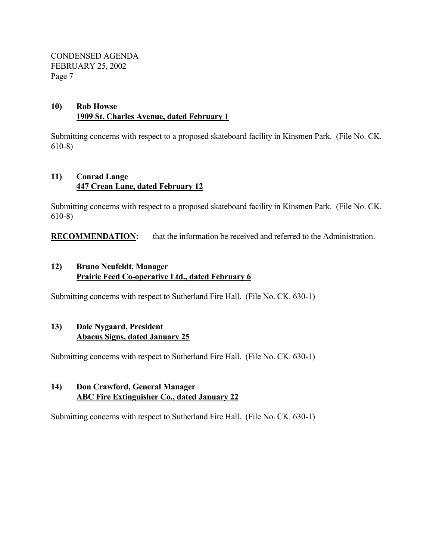## **10) Rob Howse 1909 St. Charles Avenue, dated February 1**

Submitting concerns with respect to a proposed skateboard facility in Kinsmen Park. (File No. CK. 610-8)

## **11) Conrad Lange 447 Crean Lane, dated February 12**

Submitting concerns with respect to a proposed skateboard facility in Kinsmen Park. (File No. CK. 610-8)

**RECOMMENDATION:** that the information be received and referred to the Administration.

## **12) Bruno Neufeldt, Manager Prairie Feed Co-operative Ltd., dated February 6**

Submitting concerns with respect to Sutherland Fire Hall. (File No. CK. 630-1)

## **13) Dale Nygaard, President Abacus Signs, dated January 25**

Submitting concerns with respect to Sutherland Fire Hall. (File No. CK. 630-1)

### **14) Don Crawford, General Manager ABC Fire Extinguisher Co., dated January 22**

Submitting concerns with respect to Sutherland Fire Hall. (File No. CK. 630-1)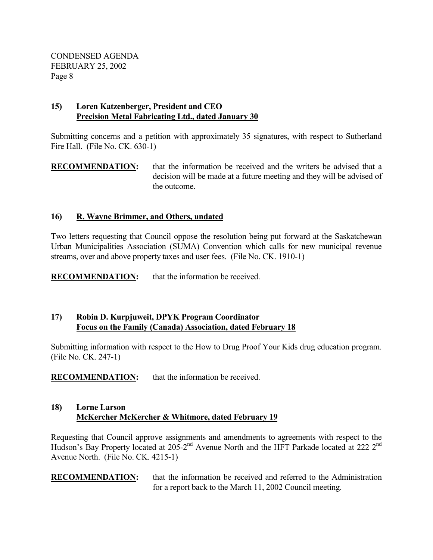## **15) Loren Katzenberger, President and CEO Precision Metal Fabricating Ltd., dated January 30**

Submitting concerns and a petition with approximately 35 signatures, with respect to Sutherland Fire Hall. (File No. CK. 630-1)

## **RECOMMENDATION:** that the information be received and the writers be advised that a decision will be made at a future meeting and they will be advised of the outcome.

## **16) R. Wayne Brimmer, and Others, undated**

Two letters requesting that Council oppose the resolution being put forward at the Saskatchewan Urban Municipalities Association (SUMA) Convention which calls for new municipal revenue streams, over and above property taxes and user fees. (File No. CK. 1910-1)

**RECOMMENDATION:** that the information be received.

## **17) Robin D. Kurpjuweit, DPYK Program Coordinator Focus on the Family (Canada) Association, dated February 18**

Submitting information with respect to the How to Drug Proof Your Kids drug education program. (File No. CK. 247-1)

**RECOMMENDATION:** that the information be received.

## **18) Lorne Larson McKercher McKercher & Whitmore, dated February 19**

Requesting that Council approve assignments and amendments to agreements with respect to the Hudson's Bay Property located at 205-2<sup>nd</sup> Avenue North and the HFT Parkade located at 222 2<sup>nd</sup> Avenue North. (File No. CK. 4215-1)

**RECOMMENDATION:** that the information be received and referred to the Administration for a report back to the March 11, 2002 Council meeting.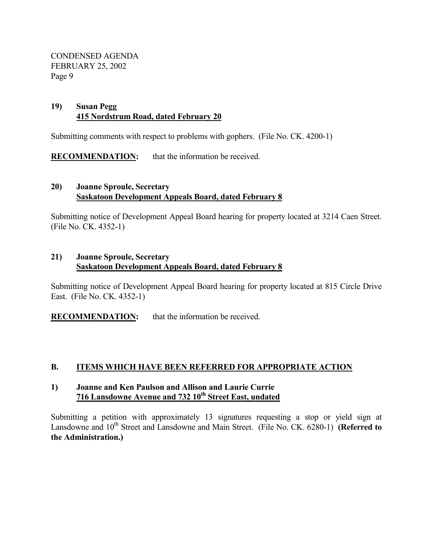### **19) Susan Pegg 415 Nordstrum Road, dated February 20**

Submitting comments with respect to problems with gophers. (File No. CK. 4200-1)

**RECOMMENDATION:** that the information be received.

### **20) Joanne Sproule, Secretary Saskatoon Development Appeals Board, dated February 8**

Submitting notice of Development Appeal Board hearing for property located at 3214 Caen Street. (File No. CK. 4352-1)

## **21) Joanne Sproule, Secretary Saskatoon Development Appeals Board, dated February 8**

Submitting notice of Development Appeal Board hearing for property located at 815 Circle Drive East. (File No. CK. 4352-1)

**RECOMMENDATION:** that the information be received.

## **B. ITEMS WHICH HAVE BEEN REFERRED FOR APPROPRIATE ACTION**

### **1) Joanne and Ken Paulson and Allison and Laurie Currie 716 Lansdowne Avenue and 732 10th Street East, undated**

Submitting a petition with approximately 13 signatures requesting a stop or yield sign at Lansdowne and 10<sup>th</sup> Street and Lansdowne and Main Street. (File No. CK. 6280-1) **(Referred to the Administration.)**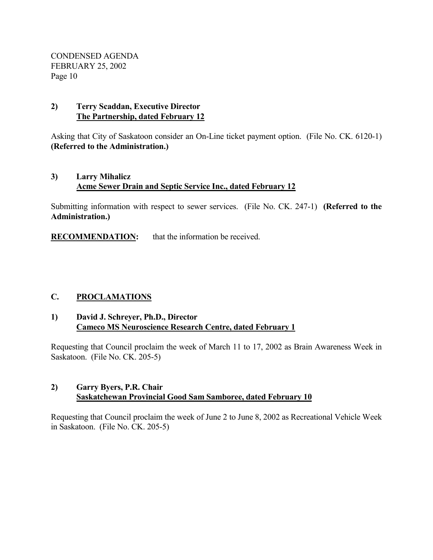### **2) Terry Scaddan, Executive Director The Partnership, dated February 12**

Asking that City of Saskatoon consider an On-Line ticket payment option. (File No. CK. 6120-1) **(Referred to the Administration.)** 

## **3) Larry Mihalicz Acme Sewer Drain and Septic Service Inc., dated February 12**

Submitting information with respect to sewer services. (File No. CK. 247-1) **(Referred to the Administration.)**

**RECOMMENDATION:** that the information be received.

## **C. PROCLAMATIONS**

### **1) David J. Schreyer, Ph.D., Director Cameco MS Neuroscience Research Centre, dated February 1**

Requesting that Council proclaim the week of March 11 to 17, 2002 as Brain Awareness Week in Saskatoon. (File No. CK. 205-5)

### **2) Garry Byers, P.R. Chair Saskatchewan Provincial Good Sam Samboree, dated February 10**

Requesting that Council proclaim the week of June 2 to June 8, 2002 as Recreational Vehicle Week in Saskatoon. (File No. CK. 205-5)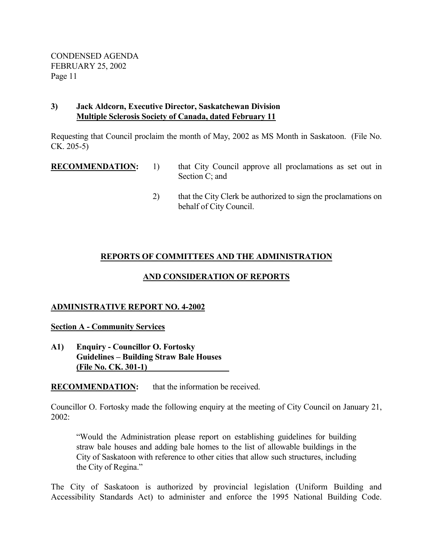### **3) Jack Aldcorn, Executive Director, Saskatchewan Division Multiple Sclerosis Society of Canada, dated February 11**

Requesting that Council proclaim the month of May, 2002 as MS Month in Saskatoon. (File No. CK. 205-5)

- **RECOMMENDATION:** 1) that City Council approve all proclamations as set out in Section C; and
	- 2) that the City Clerk be authorized to sign the proclamations on behalf of City Council.

## **REPORTS OF COMMITTEES AND THE ADMINISTRATION**

## **AND CONSIDERATION OF REPORTS**

## **ADMINISTRATIVE REPORT NO. 4-2002**

## **Section A - Community Services**

**A1) Enquiry - Councillor O. Fortosky Guidelines – Building Straw Bale Houses (File No. CK. 301-1)** 

**RECOMMENDATION:** that the information be received.

Councillor O. Fortosky made the following enquiry at the meeting of City Council on January 21, 2002:

"Would the Administration please report on establishing guidelines for building straw bale houses and adding bale homes to the list of allowable buildings in the City of Saskatoon with reference to other cities that allow such structures, including the City of Regina."

The City of Saskatoon is authorized by provincial legislation (Uniform Building and Accessibility Standards Act) to administer and enforce the 1995 National Building Code.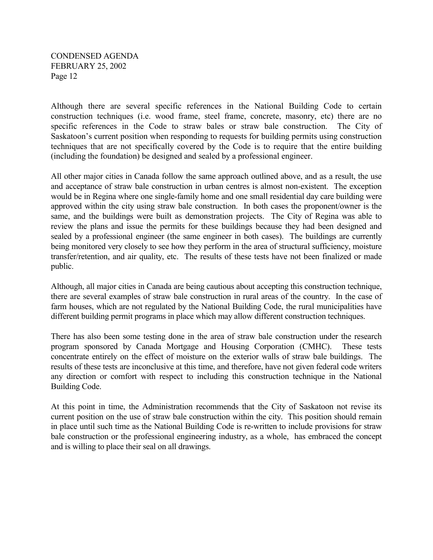Although there are several specific references in the National Building Code to certain construction techniques (i.e. wood frame, steel frame, concrete, masonry, etc) there are no specific references in the Code to straw bales or straw bale construction. The City of Saskatoon's current position when responding to requests for building permits using construction techniques that are not specifically covered by the Code is to require that the entire building (including the foundation) be designed and sealed by a professional engineer.

All other major cities in Canada follow the same approach outlined above, and as a result, the use and acceptance of straw bale construction in urban centres is almost non-existent. The exception would be in Regina where one single-family home and one small residential day care building were approved within the city using straw bale construction. In both cases the proponent/owner is the same, and the buildings were built as demonstration projects. The City of Regina was able to review the plans and issue the permits for these buildings because they had been designed and sealed by a professional engineer (the same engineer in both cases). The buildings are currently being monitored very closely to see how they perform in the area of structural sufficiency, moisture transfer/retention, and air quality, etc. The results of these tests have not been finalized or made public.

Although, all major cities in Canada are being cautious about accepting this construction technique, there are several examples of straw bale construction in rural areas of the country. In the case of farm houses, which are not regulated by the National Building Code, the rural municipalities have different building permit programs in place which may allow different construction techniques.

There has also been some testing done in the area of straw bale construction under the research program sponsored by Canada Mortgage and Housing Corporation (CMHC). These tests concentrate entirely on the effect of moisture on the exterior walls of straw bale buildings. The results of these tests are inconclusive at this time, and therefore, have not given federal code writers any direction or comfort with respect to including this construction technique in the National Building Code.

At this point in time, the Administration recommends that the City of Saskatoon not revise its current position on the use of straw bale construction within the city. This position should remain in place until such time as the National Building Code is re-written to include provisions for straw bale construction or the professional engineering industry, as a whole, has embraced the concept and is willing to place their seal on all drawings.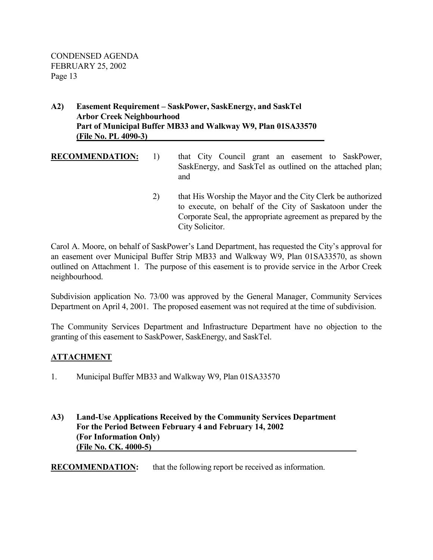### **A2) Easement Requirement – SaskPower, SaskEnergy, and SaskTel Arbor Creek Neighbourhood Part of Municipal Buffer MB33 and Walkway W9, Plan 01SA33570 (File No. PL 4090-3)**

- **RECOMMENDATION:** 1) that City Council grant an easement to SaskPower, SaskEnergy, and SaskTel as outlined on the attached plan; and 2) that His Worship the Mayor and the City Clerk be authorized
	- to execute, on behalf of the City of Saskatoon under the Corporate Seal, the appropriate agreement as prepared by the City Solicitor.

Carol A. Moore, on behalf of SaskPower's Land Department, has requested the City's approval for an easement over Municipal Buffer Strip MB33 and Walkway W9, Plan 01SA33570, as shown outlined on Attachment 1. The purpose of this easement is to provide service in the Arbor Creek neighbourhood.

Subdivision application No. 73/00 was approved by the General Manager, Community Services Department on April 4, 2001. The proposed easement was not required at the time of subdivision.

The Community Services Department and Infrastructure Department have no objection to the granting of this easement to SaskPower, SaskEnergy, and SaskTel.

## **ATTACHMENT**

- 1. Municipal Buffer MB33 and Walkway W9, Plan 01SA33570
- **A3) Land-Use Applications Received by the Community Services Department For the Period Between February 4 and February 14, 2002 (For Information Only) (File No. CK. 4000-5)**

**RECOMMENDATION:** that the following report be received as information.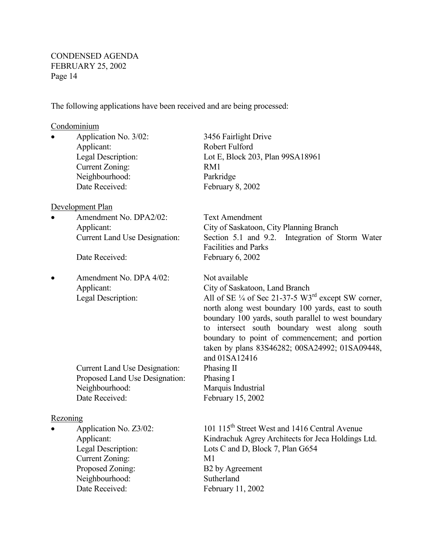The following applications have been received and are being processed:

#### Condominium

 Applicant: Robert Fulford Current Zoning: RM1 Neighbourhood: Parkridge Date Received: February 8, 2002

#### Development Plan

Amendment No. DPA2/02: Text Amendment

• Amendment No. DPA 4/02: Not available

 Current Land Use Designation: Phasing II Proposed Land Use Designation: Phasing I Neighbourhood: Marquis Industrial Date Received: February 15, 2002

#### **Rezoning**

 Current Zoning: M1 Proposed Zoning: B2 by Agreement Neighbourhood: Sutherland Date Received: February 11, 2002

Application No. 3/02: 3456 Fairlight Drive Legal Description: Lot E, Block 203, Plan 99SA18961 Applicant: City of Saskatoon, City Planning Branch Current Land Use Designation: Section 5.1 and 9.2. Integration of Storm Water Facilities and Parks Date Received: February 6, 2002 Applicant: City of Saskatoon, Land Branch Legal Description: All of SE  $\frac{1}{4}$  of Sec 21-37-5 W3<sup>rd</sup> except SW corner, north along west boundary 100 yards, east to south boundary 100 yards, south parallel to west boundary to intersect south boundary west along south boundary to point of commencement; and portion taken by plans 83S46282; 00SA24992; 01SA09448, and 01SA12416

Application No.  $Z3/02$ : 101 115<sup>th</sup> Street West and 1416 Central Avenue Applicant: Kindrachuk Agrey Architects for Jeca Holdings Ltd. Legal Description: Lots C and D, Block 7, Plan G654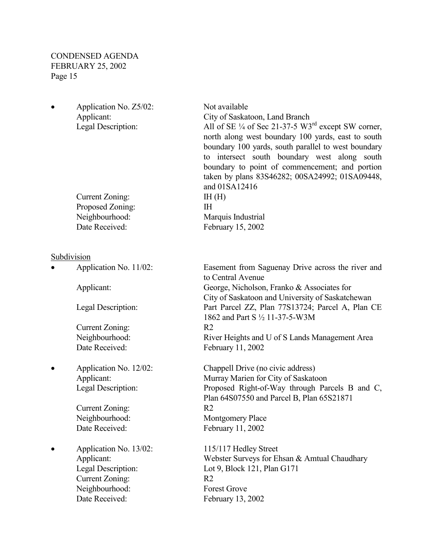Application No. Z5/02: Not available

 Applicant: City of Saskatoon, Land Branch Legal Description: All of SE <sup>1/4</sup> of Sec 21-37-5 W3<sup>rd</sup> except SW corner, north along west boundary 100 yards, east to south boundary 100 yards, south parallel to west boundary to intersect south boundary west along south boundary to point of commencement; and portion taken by plans 83S46282; 00SA24992; 01SA09448, and 01SA12416 Current Zoning: IH (H) Proposed Zoning: IH Neighbourhood: Marquis Industrial Date Received: February 15, 2002

Subdivision

 Current Zoning: R2 Date Received: February 11, 2002

Current Zoning: R2

• Application No. 13/02: 115/117 Hedley Street Current Zoning: R2 Neighbourhood: Forest Grove Date Received: February 13, 2002

 Application No. 11/02: Easement from Saguenay Drive across the river and to Central Avenue Applicant: George, Nicholson, Franko & Associates for City of Saskatoon and University of Saskatchewan Legal Description: Part Parcel ZZ, Plan 77S13724; Parcel A, Plan CE 1862 and Part S ½ 11-37-5-W3M Neighbourhood: River Heights and U of S Lands Management Area

 Application No. 12/02: Chappell Drive (no civic address) Applicant: Murray Marien for City of Saskatoon Legal Description: Proposed Right-of-Way through Parcels B and C, Plan 64S07550 and Parcel B, Plan 65S21871 Neighbourhood: Montgomery Place Date Received: February 11, 2002

Applicant: Webster Surveys for Ehsan & Amtual Chaudhary Legal Description: Lot 9, Block 121, Plan G171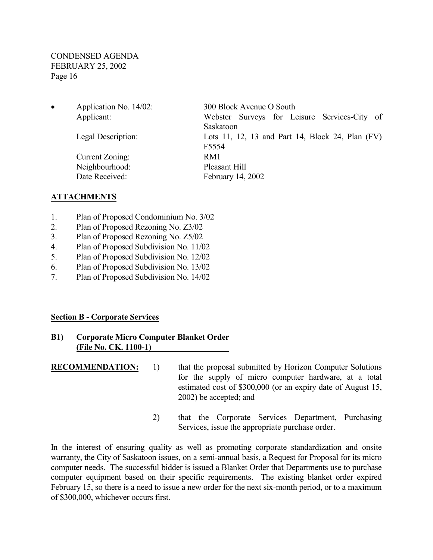Application No. 14/02: 300 Block Avenue O South Applicant: Webster Surveys for Leisure Services-City of Saskatoon Legal Description: Lots 11, 12, 13 and Part 14, Block 24, Plan (FV) F5554 Current Zoning: RM1 Neighbourhood: Pleasant Hill Date Received: February 14, 2002

#### **ATTACHMENTS**

- 1. Plan of Proposed Condominium No. 3/02
- 2. Plan of Proposed Rezoning No. Z3/02
- 3. Plan of Proposed Rezoning No. Z5/02
- 4. Plan of Proposed Subdivision No. 11/02
- 5. Plan of Proposed Subdivision No. 12/02
- 6. Plan of Proposed Subdivision No. 13/02
- 7. Plan of Proposed Subdivision No. 14/02

#### **Section B - Corporate Services**

#### **B1) Corporate Micro Computer Blanket Order (File No. CK. 1100-1)**

**RECOMMENDATION:** 1) that the proposal submitted by Horizon Computer Solutions for the supply of micro computer hardware, at a total estimated cost of \$300,000 (or an expiry date of August 15, 2002) be accepted; and

> 2) that the Corporate Services Department, Purchasing Services, issue the appropriate purchase order.

In the interest of ensuring quality as well as promoting corporate standardization and onsite warranty, the City of Saskatoon issues, on a semi-annual basis, a Request for Proposal for its micro computer needs. The successful bidder is issued a Blanket Order that Departments use to purchase computer equipment based on their specific requirements. The existing blanket order expired February 15, so there is a need to issue a new order for the next six-month period, or to a maximum of \$300,000, whichever occurs first.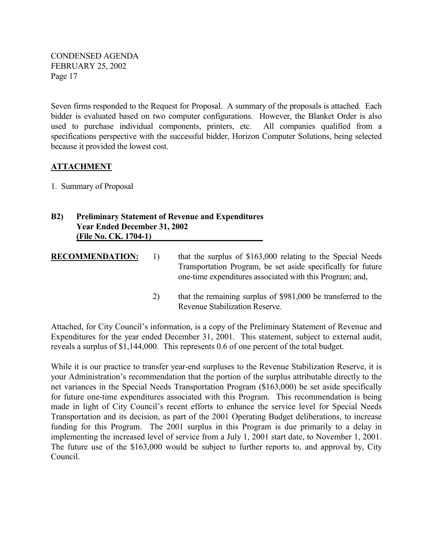Seven firms responded to the Request for Proposal. A summary of the proposals is attached. Each bidder is evaluated based on two computer configurations. However, the Blanket Order is also used to purchase individual components, printers, etc. All companies qualified from a specifications perspective with the successful bidder, Horizon Computer Solutions, being selected because it provided the lowest cost.

### **ATTACHMENT**

1. Summary of Proposal

## **B2) Preliminary Statement of Revenue and Expenditures Year Ended December 31, 2002 (File No. CK. 1704-1)**

**RECOMMENDATION:** 1) that the surplus of \$163,000 relating to the Special Needs Transportation Program, be set aside specifically for future one-time expenditures associated with this Program; and,

> 2) that the remaining surplus of \$981,000 be transferred to the Revenue Stabilization Reserve.

Attached, for City Council's information, is a copy of the Preliminary Statement of Revenue and Expenditures for the year ended December 31, 2001. This statement, subject to external audit, reveals a surplus of \$1,144,000. This represents 0.6 of one percent of the total budget.

While it is our practice to transfer year-end surpluses to the Revenue Stabilization Reserve, it is your Administration's recommendation that the portion of the surplus attributable directly to the net variances in the Special Needs Transportation Program (\$163,000) be set aside specifically for future one-time expenditures associated with this Program. This recommendation is being made in light of City Council's recent efforts to enhance the service level for Special Needs Transportation and its decision, as part of the 2001 Operating Budget deliberations, to increase funding for this Program. The 2001 surplus in this Program is due primarily to a delay in implementing the increased level of service from a July 1, 2001 start date, to November 1, 2001. The future use of the \$163,000 would be subject to further reports to, and approval by, City Council.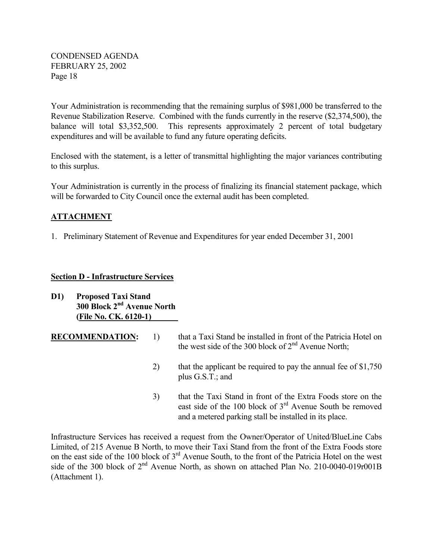Your Administration is recommending that the remaining surplus of \$981,000 be transferred to the Revenue Stabilization Reserve. Combined with the funds currently in the reserve (\$2,374,500), the balance will total \$3,352,500. This represents approximately 2 percent of total budgetary expenditures and will be available to fund any future operating deficits.

Enclosed with the statement, is a letter of transmittal highlighting the major variances contributing to this surplus.

Your Administration is currently in the process of finalizing its financial statement package, which will be forwarded to City Council once the external audit has been completed.

## **ATTACHMENT**

1. Preliminary Statement of Revenue and Expenditures for year ended December 31, 2001

#### **Section D - Infrastructure Services**

- **D1) Proposed Taxi Stand 300 Block 2nd Avenue North (File No. CK. 6120-1)**
- **RECOMMENDATION:** 1) that a Taxi Stand be installed in front of the Patricia Hotel on the west side of the 300 block of  $2<sup>nd</sup>$  Avenue North;
	- 2) that the applicant be required to pay the annual fee of \$1,750 plus G.S.T.; and
	- 3) that the Taxi Stand in front of the Extra Foods store on the east side of the 100 block of 3rd Avenue South be removed and a metered parking stall be installed in its place.

Infrastructure Services has received a request from the Owner/Operator of United/BlueLine Cabs Limited, of 215 Avenue B North, to move their Taxi Stand from the front of the Extra Foods store on the east side of the 100 block of 3rd Avenue South, to the front of the Patricia Hotel on the west side of the 300 block of  $2<sup>nd</sup>$  Avenue North, as shown on attached Plan No. 210-0040-019r001B (Attachment 1).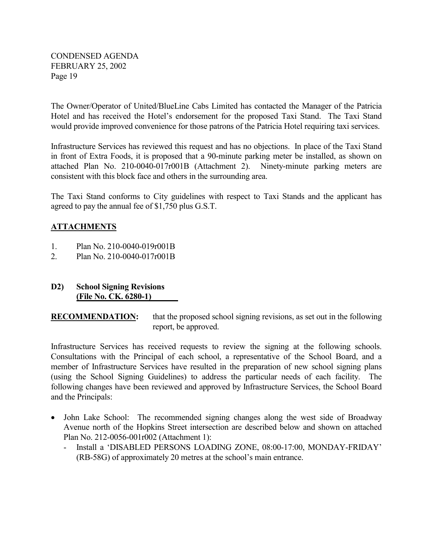The Owner/Operator of United/BlueLine Cabs Limited has contacted the Manager of the Patricia Hotel and has received the Hotel's endorsement for the proposed Taxi Stand. The Taxi Stand would provide improved convenience for those patrons of the Patricia Hotel requiring taxi services.

Infrastructure Services has reviewed this request and has no objections. In place of the Taxi Stand in front of Extra Foods, it is proposed that a 90-minute parking meter be installed, as shown on attached Plan No. 210-0040-017r001B (Attachment 2). Ninety-minute parking meters are consistent with this block face and others in the surrounding area.

The Taxi Stand conforms to City guidelines with respect to Taxi Stands and the applicant has agreed to pay the annual fee of \$1,750 plus G.S.T.

## **ATTACHMENTS**

- 1. Plan No. 210-0040-019r001B
- 2. Plan No. 210-0040-017r001B
- **D2) School Signing Revisions (File No. CK. 6280-1)**

**RECOMMENDATION:** that the proposed school signing revisions, as set out in the following report, be approved.

Infrastructure Services has received requests to review the signing at the following schools. Consultations with the Principal of each school, a representative of the School Board, and a member of Infrastructure Services have resulted in the preparation of new school signing plans (using the School Signing Guidelines) to address the particular needs of each facility. The following changes have been reviewed and approved by Infrastructure Services, the School Board and the Principals:

- John Lake School: The recommended signing changes along the west side of Broadway Avenue north of the Hopkins Street intersection are described below and shown on attached Plan No. 212-0056-001r002 (Attachment 1):
	- Install a 'DISABLED PERSONS LOADING ZONE, 08:00-17:00, MONDAY-FRIDAY' (RB-58G) of approximately 20 metres at the school's main entrance.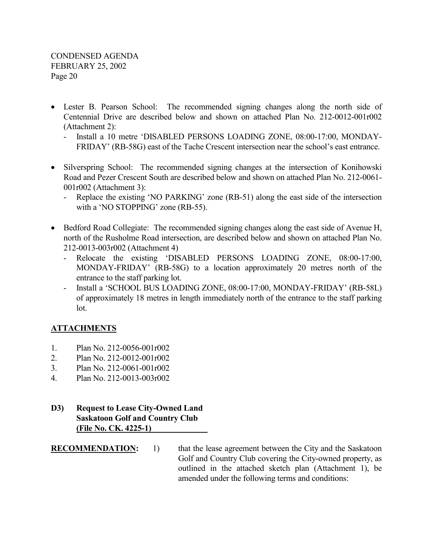- Lester B. Pearson School: The recommended signing changes along the north side of Centennial Drive are described below and shown on attached Plan No. 212-0012-001r002 (Attachment 2):
	- Install a 10 metre 'DISABLED PERSONS LOADING ZONE, 08:00-17:00, MONDAY-FRIDAY' (RB-58G) east of the Tache Crescent intersection near the school's east entrance.
- Silverspring School: The recommended signing changes at the intersection of Konihowski Road and Pezer Crescent South are described below and shown on attached Plan No. 212-0061- 001r002 (Attachment 3):
	- Replace the existing 'NO PARKING' zone (RB-51) along the east side of the intersection with a 'NO STOPPING' zone (RB-55).
- Bedford Road Collegiate: The recommended signing changes along the east side of Avenue H, north of the Rusholme Road intersection, are described below and shown on attached Plan No. 212-0013-003r002 (Attachment 4)
	- Relocate the existing 'DISABLED PERSONS LOADING ZONE, 08:00-17:00, MONDAY-FRIDAY' (RB-58G) to a location approximately 20 metres north of the entrance to the staff parking lot.
	- Install a 'SCHOOL BUS LOADING ZONE, 08:00-17:00, MONDAY-FRIDAY' (RB-58L) of approximately 18 metres in length immediately north of the entrance to the staff parking lot.

## **ATTACHMENTS**

- 1. Plan No. 212-0056-001r002
- 2. Plan No. 212-0012-001r002
- 3. Plan No. 212-0061-001r002
- 4. Plan No. 212-0013-003r002
- **D3) Request to Lease City-Owned Land Saskatoon Golf and Country Club (File No. CK. 4225-1)**
- **RECOMMENDATION:** 1) that the lease agreement between the City and the Saskatoon Golf and Country Club covering the City-owned property, as outlined in the attached sketch plan (Attachment 1), be amended under the following terms and conditions: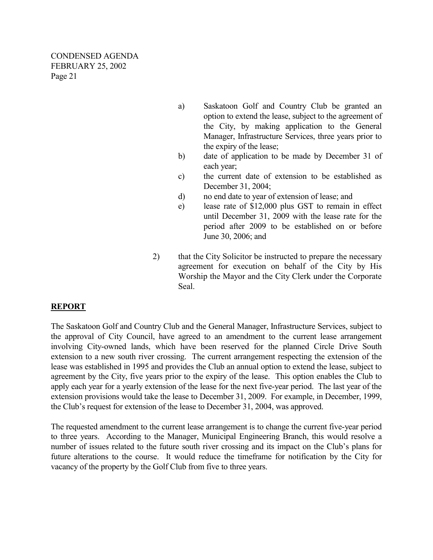- a) Saskatoon Golf and Country Club be granted an option to extend the lease, subject to the agreement of the City, by making application to the General Manager, Infrastructure Services, three years prior to the expiry of the lease;
- b) date of application to be made by December 31 of each year;
- c) the current date of extension to be established as December 31, 2004;
- d) no end date to year of extension of lease; and
- e) lease rate of \$12,000 plus GST to remain in effect until December 31, 2009 with the lease rate for the period after 2009 to be established on or before June 30, 2006; and
- 2) that the City Solicitor be instructed to prepare the necessary agreement for execution on behalf of the City by His Worship the Mayor and the City Clerk under the Corporate Seal.

## **REPORT**

The Saskatoon Golf and Country Club and the General Manager, Infrastructure Services, subject to the approval of City Council, have agreed to an amendment to the current lease arrangement involving City-owned lands, which have been reserved for the planned Circle Drive South extension to a new south river crossing. The current arrangement respecting the extension of the lease was established in 1995 and provides the Club an annual option to extend the lease, subject to agreement by the City, five years prior to the expiry of the lease. This option enables the Club to apply each year for a yearly extension of the lease for the next five-year period. The last year of the extension provisions would take the lease to December 31, 2009. For example, in December, 1999, the Club's request for extension of the lease to December 31, 2004, was approved.

The requested amendment to the current lease arrangement is to change the current five-year period to three years. According to the Manager, Municipal Engineering Branch, this would resolve a number of issues related to the future south river crossing and its impact on the Club's plans for future alterations to the course. It would reduce the timeframe for notification by the City for vacancy of the property by the Golf Club from five to three years.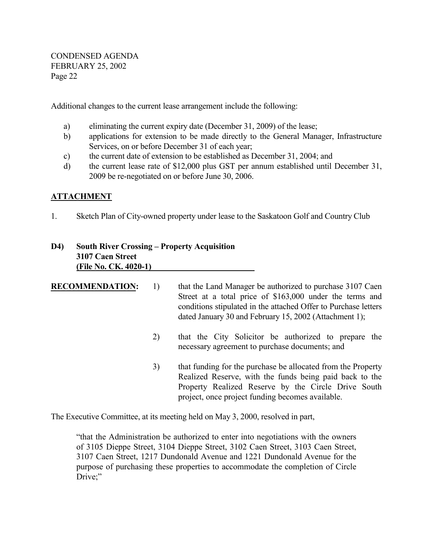Additional changes to the current lease arrangement include the following:

- a) eliminating the current expiry date (December 31, 2009) of the lease;
- b) applications for extension to be made directly to the General Manager, Infrastructure Services, on or before December 31 of each year;
- c) the current date of extension to be established as December 31, 2004; and
- d) the current lease rate of \$12,000 plus GST per annum established until December 31, 2009 be re-negotiated on or before June 30, 2006.

## **ATTACHMENT**

1. Sketch Plan of City-owned property under lease to the Saskatoon Golf and Country Club

## **D4) South River Crossing – Property Acquisition 3107 Caen Street (File No. CK. 4020-1)**

| <b>RECOMMENDATION:</b> | 1) | that the Land Manager be authorized to purchase 3107 Caen<br>Street at a total price of \$163,000 under the terms and<br>conditions stipulated in the attached Offer to Purchase letters<br>dated January 30 and February 15, 2002 (Attachment 1); |
|------------------------|----|----------------------------------------------------------------------------------------------------------------------------------------------------------------------------------------------------------------------------------------------------|
|                        | 2) | that the City Solicitor be authorized to prepare the<br>necessary agreement to purchase documents; and                                                                                                                                             |
|                        | 3) | that funding for the purchase be allocated from the Property<br>Realized Reserve, with the funds being paid back to the<br>Property Realized Reserve by the Circle Drive South<br>project, once project funding becomes available.                 |

The Executive Committee, at its meeting held on May 3, 2000, resolved in part,

"that the Administration be authorized to enter into negotiations with the owners of 3105 Dieppe Street, 3104 Dieppe Street, 3102 Caen Street, 3103 Caen Street, 3107 Caen Street, 1217 Dundonald Avenue and 1221 Dundonald Avenue for the purpose of purchasing these properties to accommodate the completion of Circle Drive;"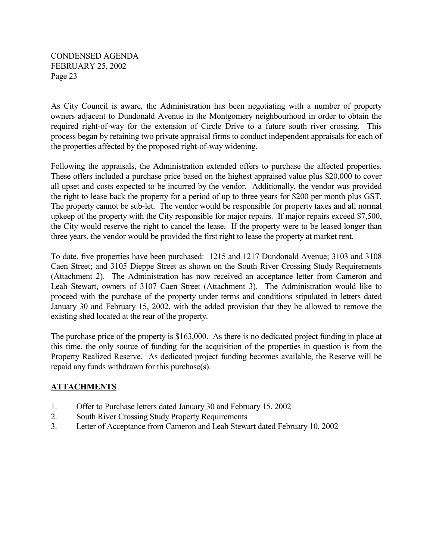As City Council is aware, the Administration has been negotiating with a number of property owners adjacent to Dundonald Avenue in the Montgomery neighbourhood in order to obtain the required right-of-way for the extension of Circle Drive to a future south river crossing. This process began by retaining two private appraisal firms to conduct independent appraisals for each of the properties affected by the proposed right-of-way widening.

Following the appraisals, the Administration extended offers to purchase the affected properties. These offers included a purchase price based on the highest appraised value plus \$20,000 to cover all upset and costs expected to be incurred by the vendor. Additionally, the vendor was provided the right to lease back the property for a period of up to three years for \$200 per month plus GST. The property cannot be sub-let. The vendor would be responsible for property taxes and all normal upkeep of the property with the City responsible for major repairs. If major repairs exceed \$7,500, the City would reserve the right to cancel the lease. If the property were to be leased longer than three years, the vendor would be provided the first right to lease the property at market rent.

To date, five properties have been purchased: 1215 and 1217 Dundonald Avenue; 3103 and 3108 Caen Street; and 3105 Dieppe Street as shown on the South River Crossing Study Requirements (Attachment 2). The Administration has now received an acceptance letter from Cameron and Leah Stewart, owners of 3107 Caen Street (Attachment 3). The Administration would like to proceed with the purchase of the property under terms and conditions stipulated in letters dated January 30 and February 15, 2002, with the added provision that they be allowed to remove the existing shed located at the rear of the property.

The purchase price of the property is \$163,000. As there is no dedicated project funding in place at this time, the only source of funding for the acquisition of the properties in question is from the Property Realized Reserve. As dedicated project funding becomes available, the Reserve will be repaid any funds withdrawn for this purchase(s).

## **ATTACHMENTS**

- 1. Offer to Purchase letters dated January 30 and February 15, 2002
- 2. South River Crossing Study Property Requirements
- 3. Letter of Acceptance from Cameron and Leah Stewart dated February 10, 2002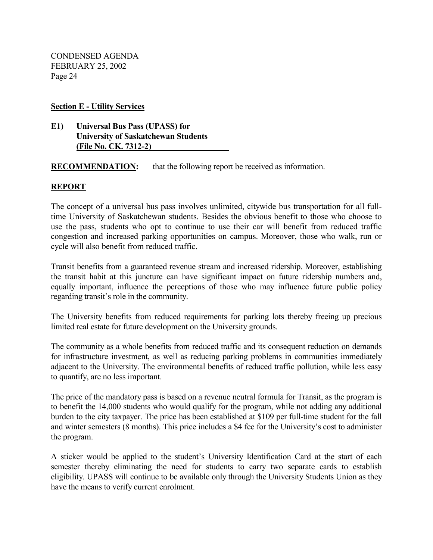**Section E - Utility Services**

### **E1) Universal Bus Pass (UPASS) for University of Saskatchewan Students (File No. CK. 7312-2)**

**RECOMMENDATION:** that the following report be received as information.

## **REPORT**

The concept of a universal bus pass involves unlimited, citywide bus transportation for all fulltime University of Saskatchewan students. Besides the obvious benefit to those who choose to use the pass, students who opt to continue to use their car will benefit from reduced traffic congestion and increased parking opportunities on campus. Moreover, those who walk, run or cycle will also benefit from reduced traffic.

Transit benefits from a guaranteed revenue stream and increased ridership. Moreover, establishing the transit habit at this juncture can have significant impact on future ridership numbers and, equally important, influence the perceptions of those who may influence future public policy regarding transit's role in the community.

The University benefits from reduced requirements for parking lots thereby freeing up precious limited real estate for future development on the University grounds.

The community as a whole benefits from reduced traffic and its consequent reduction on demands for infrastructure investment, as well as reducing parking problems in communities immediately adjacent to the University. The environmental benefits of reduced traffic pollution, while less easy to quantify, are no less important.

The price of the mandatory pass is based on a revenue neutral formula for Transit, as the program is to benefit the 14,000 students who would qualify for the program, while not adding any additional burden to the city taxpayer. The price has been established at \$109 per full-time student for the fall and winter semesters (8 months). This price includes a \$4 fee for the University's cost to administer the program.

A sticker would be applied to the student's University Identification Card at the start of each semester thereby eliminating the need for students to carry two separate cards to establish eligibility. UPASS will continue to be available only through the University Students Union as they have the means to verify current enrolment.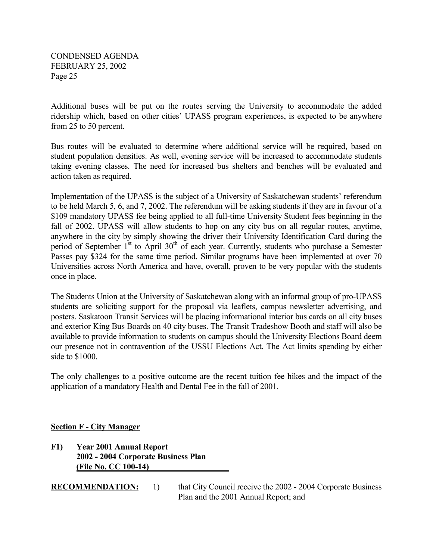Additional buses will be put on the routes serving the University to accommodate the added ridership which, based on other cities' UPASS program experiences, is expected to be anywhere from 25 to 50 percent.

Bus routes will be evaluated to determine where additional service will be required, based on student population densities. As well, evening service will be increased to accommodate students taking evening classes. The need for increased bus shelters and benches will be evaluated and action taken as required.

Implementation of the UPASS is the subject of a University of Saskatchewan students' referendum to be held March 5, 6, and 7, 2002. The referendum will be asking students if they are in favour of a \$109 mandatory UPASS fee being applied to all full-time University Student fees beginning in the fall of 2002. UPASS will allow students to hop on any city bus on all regular routes, anytime, anywhere in the city by simply showing the driver their University Identification Card during the period of September  $1^{st}$  to April 30<sup>th</sup> of each year. Currently, students who purchase a Semester Passes pay \$324 for the same time period. Similar programs have been implemented at over 70 Universities across North America and have, overall, proven to be very popular with the students once in place.

The Students Union at the University of Saskatchewan along with an informal group of pro-UPASS students are soliciting support for the proposal via leaflets, campus newsletter advertising, and posters. Saskatoon Transit Services will be placing informational interior bus cards on all city buses and exterior King Bus Boards on 40 city buses. The Transit Tradeshow Booth and staff will also be available to provide information to students on campus should the University Elections Board deem our presence not in contravention of the USSU Elections Act. The Act limits spending by either side to \$1000.

The only challenges to a positive outcome are the recent tuition fee hikes and the impact of the application of a mandatory Health and Dental Fee in the fall of 2001.

## **Section F - City Manager**

**F1) Year 2001 Annual Report 2002 - 2004 Corporate Business Plan (File No. CC 100-14)** 

**RECOMMENDATION:** 1) that City Council receive the 2002 - 2004 Corporate Business Plan and the 2001 Annual Report; and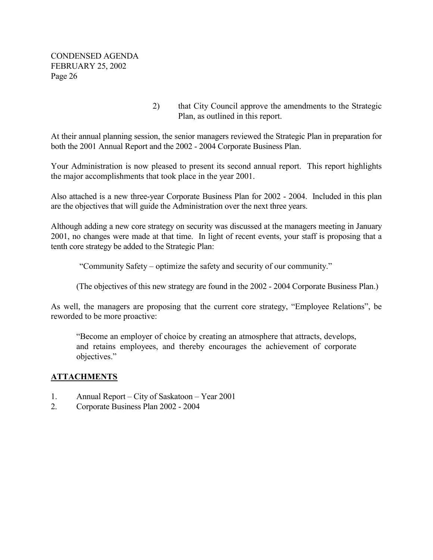> 2) that City Council approve the amendments to the Strategic Plan, as outlined in this report.

At their annual planning session, the senior managers reviewed the Strategic Plan in preparation for both the 2001 Annual Report and the 2002 - 2004 Corporate Business Plan.

Your Administration is now pleased to present its second annual report. This report highlights the major accomplishments that took place in the year 2001.

Also attached is a new three-year Corporate Business Plan for 2002 - 2004. Included in this plan are the objectives that will guide the Administration over the next three years.

Although adding a new core strategy on security was discussed at the managers meeting in January 2001, no changes were made at that time. In light of recent events, your staff is proposing that a tenth core strategy be added to the Strategic Plan:

"Community Safety – optimize the safety and security of our community."

(The objectives of this new strategy are found in the 2002 - 2004 Corporate Business Plan.)

As well, the managers are proposing that the current core strategy, "Employee Relations", be reworded to be more proactive:

"Become an employer of choice by creating an atmosphere that attracts, develops, and retains employees, and thereby encourages the achievement of corporate objectives."

## **ATTACHMENTS**

- 1. Annual Report City of Saskatoon Year 2001
- 2. Corporate Business Plan 2002 2004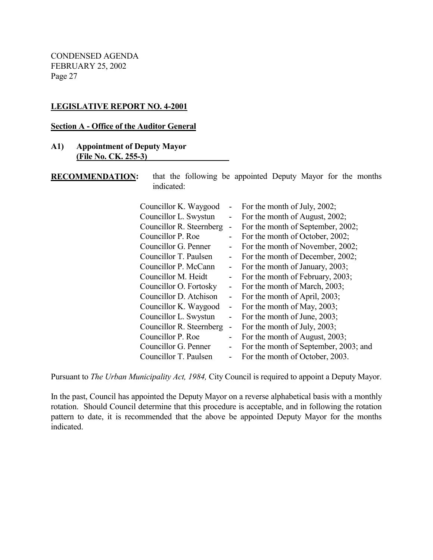### **LEGISLATIVE REPORT NO. 4-2001**

#### **Section A - Office of the Auditor General**

#### **A1) Appointment of Deputy Mayor (File No. CK. 255-3)**

**RECOMMENDATION:** that the following be appointed Deputy Mayor for the months indicated:

| Councillor K. Waygood    |                              | - For the month of July, $2002$ ;     |
|--------------------------|------------------------------|---------------------------------------|
| Councillor L. Swystun    | $\qquad \qquad \blacksquare$ | For the month of August, 2002;        |
| Councillor R. Steernberg | $\blacksquare$               | For the month of September, 2002;     |
| Councillor P. Roe        | $\overline{\phantom{a}}$     | For the month of October, 2002;       |
| Councillor G. Penner     | $\blacksquare$               | For the month of November, 2002;      |
| Councillor T. Paulsen    | $\overline{\phantom{a}}$     | For the month of December, 2002;      |
| Councillor P. McCann     | $\overline{\phantom{0}}$     | For the month of January, 2003;       |
| Councillor M. Heidt      | $\overline{\phantom{a}}$     | For the month of February, 2003;      |
| Councillor O. Fortosky   | $\qquad \qquad \blacksquare$ | For the month of March, 2003;         |
| Councillor D. Atchison   | $\blacksquare$               | For the month of April, 2003;         |
| Councillor K. Waygood    | $\blacksquare$               | For the month of May, 2003;           |
| Councillor L. Swystun    | $\blacksquare$               | For the month of June, 2003;          |
| Councillor R. Steernberg | $\qquad \qquad \blacksquare$ | For the month of July, 2003;          |
| Councillor P. Roe        | $\overline{\phantom{a}}$     | For the month of August, 2003;        |
| Councillor G. Penner     | $\qquad \qquad \blacksquare$ | For the month of September, 2003; and |
| Councillor T. Paulsen    |                              | For the month of October, 2003.       |

Pursuant to *The Urban Municipality Act, 1984,* City Council is required to appoint a Deputy Mayor.

In the past, Council has appointed the Deputy Mayor on a reverse alphabetical basis with a monthly rotation. Should Council determine that this procedure is acceptable, and in following the rotation pattern to date, it is recommended that the above be appointed Deputy Mayor for the months indicated.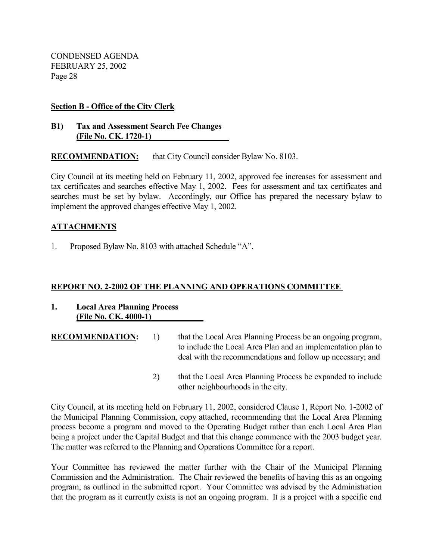#### **Section B - Office of the City Clerk**

#### **B1) Tax and Assessment Search Fee Changes (File No. CK. 1720-1)**

**RECOMMENDATION:** that City Council consider Bylaw No. 8103.

City Council at its meeting held on February 11, 2002, approved fee increases for assessment and tax certificates and searches effective May 1, 2002. Fees for assessment and tax certificates and searches must be set by bylaw. Accordingly, our Office has prepared the necessary bylaw to implement the approved changes effective May 1, 2002.

## **ATTACHMENTS**

1. Proposed Bylaw No. 8103 with attached Schedule "A".

#### **REPORT NO. 2-2002 OF THE PLANNING AND OPERATIONS COMMITTEE**

- **1. Local Area Planning Process (File No. CK. 4000-1)**
- **RECOMMENDATION:** 1) that the Local Area Planning Process be an ongoing program, to include the Local Area Plan and an implementation plan to deal with the recommendations and follow up necessary; and
	- 2) that the Local Area Planning Process be expanded to include other neighbourhoods in the city.

City Council, at its meeting held on February 11, 2002, considered Clause 1, Report No. 1-2002 of the Municipal Planning Commission, copy attached, recommending that the Local Area Planning process become a program and moved to the Operating Budget rather than each Local Area Plan being a project under the Capital Budget and that this change commence with the 2003 budget year. The matter was referred to the Planning and Operations Committee for a report.

Your Committee has reviewed the matter further with the Chair of the Municipal Planning Commission and the Administration. The Chair reviewed the benefits of having this as an ongoing program, as outlined in the submitted report. Your Committee was advised by the Administration that the program as it currently exists is not an ongoing program. It is a project with a specific end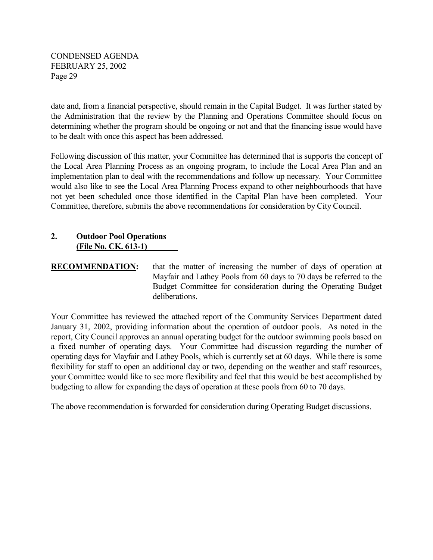date and, from a financial perspective, should remain in the Capital Budget. It was further stated by the Administration that the review by the Planning and Operations Committee should focus on determining whether the program should be ongoing or not and that the financing issue would have to be dealt with once this aspect has been addressed.

Following discussion of this matter, your Committee has determined that is supports the concept of the Local Area Planning Process as an ongoing program, to include the Local Area Plan and an implementation plan to deal with the recommendations and follow up necessary. Your Committee would also like to see the Local Area Planning Process expand to other neighbourhoods that have not yet been scheduled once those identified in the Capital Plan have been completed. Your Committee, therefore, submits the above recommendations for consideration by City Council.

## **2. Outdoor Pool Operations (File No. CK. 613-1)**

## **RECOMMENDATION:** that the matter of increasing the number of days of operation at Mayfair and Lathey Pools from 60 days to 70 days be referred to the Budget Committee for consideration during the Operating Budget deliberations.

Your Committee has reviewed the attached report of the Community Services Department dated January 31, 2002, providing information about the operation of outdoor pools. As noted in the report, City Council approves an annual operating budget for the outdoor swimming pools based on a fixed number of operating days. Your Committee had discussion regarding the number of operating days for Mayfair and Lathey Pools, which is currently set at 60 days. While there is some flexibility for staff to open an additional day or two, depending on the weather and staff resources, your Committee would like to see more flexibility and feel that this would be best accomplished by budgeting to allow for expanding the days of operation at these pools from 60 to 70 days.

The above recommendation is forwarded for consideration during Operating Budget discussions.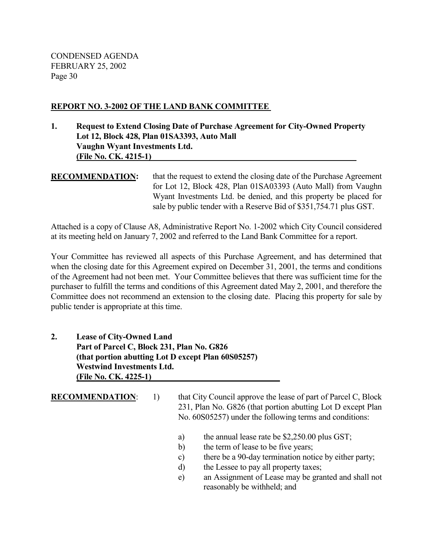#### **REPORT NO. 3-2002 OF THE LAND BANK COMMITTEE**

## **1. Request to Extend Closing Date of Purchase Agreement for City-Owned Property Lot 12, Block 428, Plan 01SA3393, Auto Mall Vaughn Wyant Investments Ltd. (File No. CK. 4215-1)**

## **RECOMMENDATION:** that the request to extend the closing date of the Purchase Agreement for Lot 12, Block 428, Plan 01SA03393 (Auto Mall) from Vaughn Wyant Investments Ltd. be denied, and this property be placed for sale by public tender with a Reserve Bid of \$351,754.71 plus GST.

Attached is a copy of Clause A8, Administrative Report No. 1-2002 which City Council considered at its meeting held on January 7, 2002 and referred to the Land Bank Committee for a report.

Your Committee has reviewed all aspects of this Purchase Agreement, and has determined that when the closing date for this Agreement expired on December 31, 2001, the terms and conditions of the Agreement had not been met. Your Committee believes that there was sufficient time for the purchaser to fulfill the terms and conditions of this Agreement dated May 2, 2001, and therefore the Committee does not recommend an extension to the closing date. Placing this property for sale by public tender is appropriate at this time.

## **2. Lease of City-Owned Land Part of Parcel C, Block 231, Plan No. G826 (that portion abutting Lot D except Plan 60S05257) Westwind Investments Ltd. (File No. CK. 4225-1)**

**RECOMMENDATION:** 1) that City Council approve the lease of part of Parcel C, Block 231, Plan No. G826 (that portion abutting Lot D except Plan No. 60S05257) under the following terms and conditions:

- a) the annual lease rate be \$2,250.00 plus GST;
- b) the term of lease to be five years;
- c) there be a 90-day termination notice by either party;
- d) the Lessee to pay all property taxes;
- e) an Assignment of Lease may be granted and shall not reasonably be withheld; and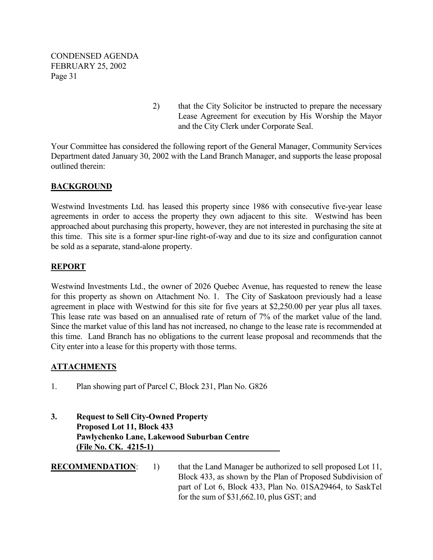> 2) that the City Solicitor be instructed to prepare the necessary Lease Agreement for execution by His Worship the Mayor and the City Clerk under Corporate Seal.

Your Committee has considered the following report of the General Manager, Community Services Department dated January 30, 2002 with the Land Branch Manager, and supports the lease proposal outlined therein:

## **BACKGROUND**

Westwind Investments Ltd. has leased this property since 1986 with consecutive five-year lease agreements in order to access the property they own adjacent to this site. Westwind has been approached about purchasing this property, however, they are not interested in purchasing the site at this time. This site is a former spur-line right-of-way and due to its size and configuration cannot be sold as a separate, stand-alone property.

## **REPORT**

Westwind Investments Ltd., the owner of 2026 Quebec Avenue, has requested to renew the lease for this property as shown on Attachment No. 1. The City of Saskatoon previously had a lease agreement in place with Westwind for this site for five years at \$2,250.00 per year plus all taxes. This lease rate was based on an annualised rate of return of 7% of the market value of the land. Since the market value of this land has not increased, no change to the lease rate is recommended at this time. Land Branch has no obligations to the current lease proposal and recommends that the City enter into a lease for this property with those terms.

## **ATTACHMENTS**

1. Plan showing part of Parcel C, Block 231, Plan No. G826

## **3. Request to Sell City-Owned Property Proposed Lot 11, Block 433 Pawlychenko Lane, Lakewood Suburban Centre (File No. CK. 4215-1)**

- 
- **RECOMMENDATION:** 1) that the Land Manager be authorized to sell proposed Lot 11, Block 433, as shown by the Plan of Proposed Subdivision of part of Lot 6, Block 433, Plan No. 01SA29464, to SaskTel for the sum of \$31,662.10, plus GST; and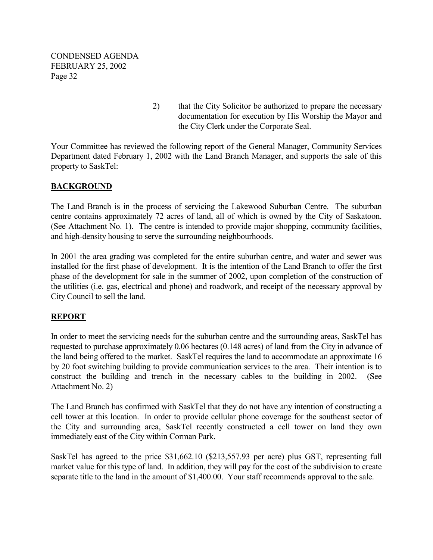> 2) that the City Solicitor be authorized to prepare the necessary documentation for execution by His Worship the Mayor and the City Clerk under the Corporate Seal.

Your Committee has reviewed the following report of the General Manager, Community Services Department dated February 1, 2002 with the Land Branch Manager, and supports the sale of this property to SaskTel:

## **BACKGROUND**

The Land Branch is in the process of servicing the Lakewood Suburban Centre. The suburban centre contains approximately 72 acres of land, all of which is owned by the City of Saskatoon. (See Attachment No. 1). The centre is intended to provide major shopping, community facilities, and high-density housing to serve the surrounding neighbourhoods.

In 2001 the area grading was completed for the entire suburban centre, and water and sewer was installed for the first phase of development. It is the intention of the Land Branch to offer the first phase of the development for sale in the summer of 2002, upon completion of the construction of the utilities (i.e. gas, electrical and phone) and roadwork, and receipt of the necessary approval by City Council to sell the land.

## **REPORT**

In order to meet the servicing needs for the suburban centre and the surrounding areas, SaskTel has requested to purchase approximately 0.06 hectares (0.148 acres) of land from the City in advance of the land being offered to the market. SaskTel requires the land to accommodate an approximate 16 by 20 foot switching building to provide communication services to the area. Their intention is to construct the building and trench in the necessary cables to the building in 2002. (See Attachment No. 2)

The Land Branch has confirmed with SaskTel that they do not have any intention of constructing a cell tower at this location. In order to provide cellular phone coverage for the southeast sector of the City and surrounding area, SaskTel recently constructed a cell tower on land they own immediately east of the City within Corman Park.

SaskTel has agreed to the price \$31,662.10 (\$213,557.93 per acre) plus GST, representing full market value for this type of land. In addition, they will pay for the cost of the subdivision to create separate title to the land in the amount of \$1,400.00. Your staff recommends approval to the sale.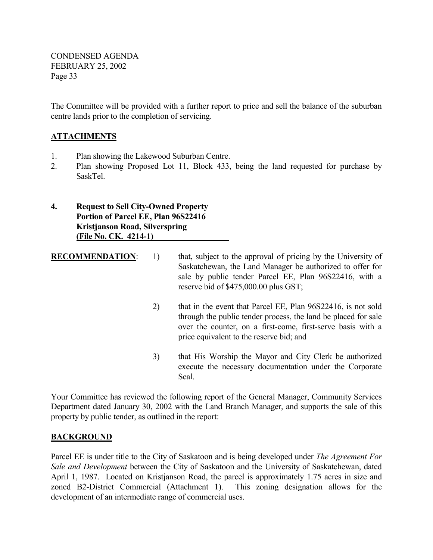The Committee will be provided with a further report to price and sell the balance of the suburban centre lands prior to the completion of servicing.

## **ATTACHMENTS**

- 1. Plan showing the Lakewood Suburban Centre.
- 2. Plan showing Proposed Lot 11, Block 433, being the land requested for purchase by SaskTel.

**4. Request to Sell City-Owned Property Portion of Parcel EE, Plan 96S22416 Kristjanson Road, Silverspring (File No. CK. 4214-1)** 

**RECOMMENDATION:** 1) that, subject to the approval of pricing by the University of Saskatchewan, the Land Manager be authorized to offer for sale by public tender Parcel EE, Plan 96S22416, with a reserve bid of \$475,000.00 plus GST;

- 2) that in the event that Parcel EE, Plan 96S22416, is not sold through the public tender process, the land be placed for sale over the counter, on a first-come, first-serve basis with a price equivalent to the reserve bid; and
- 3) that His Worship the Mayor and City Clerk be authorized execute the necessary documentation under the Corporate Seal.

Your Committee has reviewed the following report of the General Manager, Community Services Department dated January 30, 2002 with the Land Branch Manager, and supports the sale of this property by public tender, as outlined in the report:

## **BACKGROUND**

Parcel EE is under title to the City of Saskatoon and is being developed under *The Agreement For Sale and Development* between the City of Saskatoon and the University of Saskatchewan, dated April 1, 1987. Located on Kristjanson Road, the parcel is approximately 1.75 acres in size and zoned B2-District Commercial (Attachment 1). This zoning designation allows for the development of an intermediate range of commercial uses.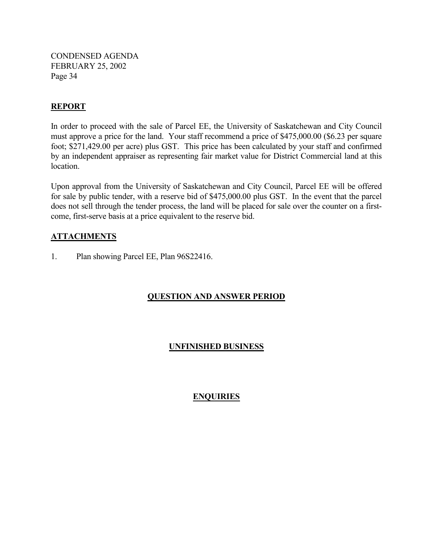## **REPORT**

In order to proceed with the sale of Parcel EE, the University of Saskatchewan and City Council must approve a price for the land. Your staff recommend a price of \$475,000.00 (\$6.23 per square foot; \$271,429.00 per acre) plus GST. This price has been calculated by your staff and confirmed by an independent appraiser as representing fair market value for District Commercial land at this location.

Upon approval from the University of Saskatchewan and City Council, Parcel EE will be offered for sale by public tender, with a reserve bid of \$475,000.00 plus GST. In the event that the parcel does not sell through the tender process, the land will be placed for sale over the counter on a firstcome, first-serve basis at a price equivalent to the reserve bid.

## **ATTACHMENTS**

1. Plan showing Parcel EE, Plan 96S22416.

## **QUESTION AND ANSWER PERIOD**

## **UNFINISHED BUSINESS**

## **ENQUIRIES**